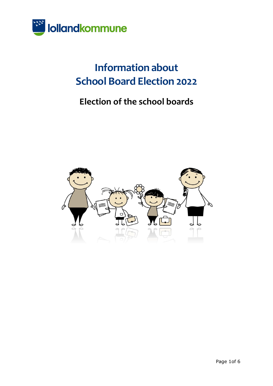

# **Information about School Board Election 2022**

## **Election of the school boards**

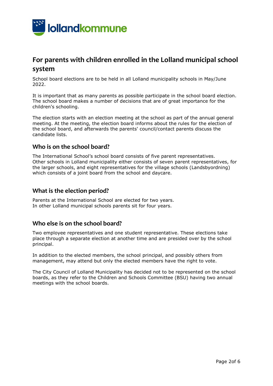

## **For parents with children enrolled in the Lolland municipal school system**

School board elections are to be held in all Lolland municipality schools in May/June 2022.

It is important that as many parents as possible participate in the school board election. The school board makes a number of decisions that are of great importance for the children's schooling.

The election starts with an election meeting at the school as part of the annual general meeting. At the meeting, the election board informs about the rules for the election of the school board, and afterwards the parents' council/contact parents discuss the candidate lists.

#### **Who is on the school board?**

The International School's school board consists of five parent representatives. Other schools in Lolland municipality either consists of seven parent representatives, for the larger schools, and eight representatives for the village schools (Landsbyordning) which consists of a joint board from the school and daycare.

#### **What is the election period?**

Parents at the International School are elected for two years. In other Lolland municipal schools parents sit for four years.

#### **Who else is on the school board?**

Two employee representatives and one student representative. These elections take place through a separate election at another time and are presided over by the school principal.

In addition to the elected members, the school principal, and possibly others from management, may attend but only the elected members have the right to vote.

The City Council of Lolland Municipality has decided not to be represented on the school boards, as they refer to the Children and Schools Committee (BSU) having two annual meetings with the school boards.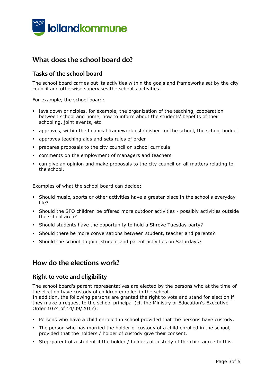

## **What does the school board do?**

#### **Tasks of the school board**

The school board carries out its activities within the goals and frameworks set by the city council and otherwise supervises the school's activities.

For example, the school board:

- lays down principles, for example, the organization of the teaching, cooperation between school and home, how to inform about the students' benefits of their schooling, joint events, etc.
- approves, within the financial framework established for the school, the school budget
- approves teaching aids and sets rules of order
- prepares proposals to the city council on school curricula
- comments on the employment of managers and teachers
- can give an opinion and make proposals to the city council on all matters relating to the school.

Examples of what the school board can decide:

- Should music, sports or other activities have a greater place in the school's everyday life?
- Should the SFO children be offered more outdoor activities possibly activities outside the school area?
- Should students have the opportunity to hold a Shrove Tuesday party?
- Should there be more conversations between student, teacher and parents?
- Should the school do joint student and parent activities on Saturdays?

#### **How do the elections work?**

#### **Right to vote and eligibility**

The school board's parent representatives are elected by the persons who at the time of the election have custody of children enrolled in the school.

In addition, the following persons are granted the right to vote and stand for election if they make a request to the school principal (cf. the Ministry of Education's Executive Order 1074 of 14/09/2017):

- Persons who have a child enrolled in school provided that the persons have custody.
- The person who has married the holder of custody of a child enrolled in the school, provided that the holders / holder of custody give their consent.
- Step-parent of a student if the holder / holders of custody of the child agree to this.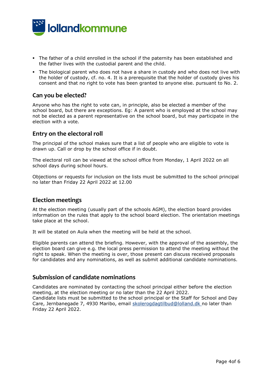

- The father of a child enrolled in the school if the paternity has been established and the father lives with the custodial parent and the child.
- The biological parent who does not have a share in custody and who does not live with the holder of custody, cf. no. 4. It is a prerequisite that the holder of custody gives his consent and that no right to vote has been granted to anyone else. pursuant to No. 2.

#### **Can you be elected?**

Anyone who has the right to vote can, in principle, also be elected a member of the school board, but there are exceptions. Eg: A parent who is employed at the school may not be elected as a parent representative on the school board, but may participate in the election with a vote.

#### **Entry on the electoral roll**

The principal of the school makes sure that a list of people who are eligible to vote is drawn up. Call or drop by the school office if in doubt.

The electoral roll can be viewed at the school office from Monday, 1 April 2022 on all school days during school hours.

Objections or requests for inclusion on the lists must be submitted to the school principal no later than Friday 22 April 2022 at 12.00

#### **Election meetings**

At the election meeting (usually part of the schools AGM), the election board provides information on the rules that apply to the school board election. The orientation meetings take place at the school.

It will be stated on Aula when the meeting will be held at the school.

Eligible parents can attend the briefing. However, with the approval of the assembly, the election board can give e.g. the local press permission to attend the meeting without the right to speak. When the meeting is over, those present can discuss received proposals for candidates and any nominations, as well as submit additional candidate nominations.

#### **Submission of candidate nominations**

Candidates are nominated by contacting the school principal either before the election meeting, at the election meeting or no later than the 22 April 2022. Candidate lists must be submitted to the school principal or the Staff for School and Day Care, Jernbanegade 7, 4930 Maribo, email [skolerogdagtilbud@lolland.dk n](mailto:skolerogdagtilbud@lolland.dk)o later than Friday 22 April 2022.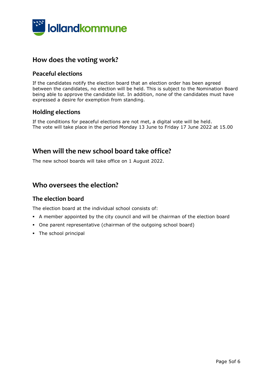

## **How does the voting work?**

#### **Peaceful elections**

If the candidates notify the election board that an election order has been agreed between the candidates, no election will be held. This is subject to the Nomination Board being able to approve the candidate list. In addition, none of the candidates must have expressed a desire for exemption from standing.

#### **Holding elections**

If the conditions for peaceful elections are not met, a digital vote will be held. The vote will take place in the period Monday 13 June to Friday 17 June 2022 at 15.00

## **When will the new school board take office?**

The new school boards will take office on 1 August 2022.

## **Who oversees the election?**

#### **The election board**

The election board at the individual school consists of:

- A member appointed by the city council and will be chairman of the election board
- One parent representative (chairman of the outgoing school board)
- The school principal